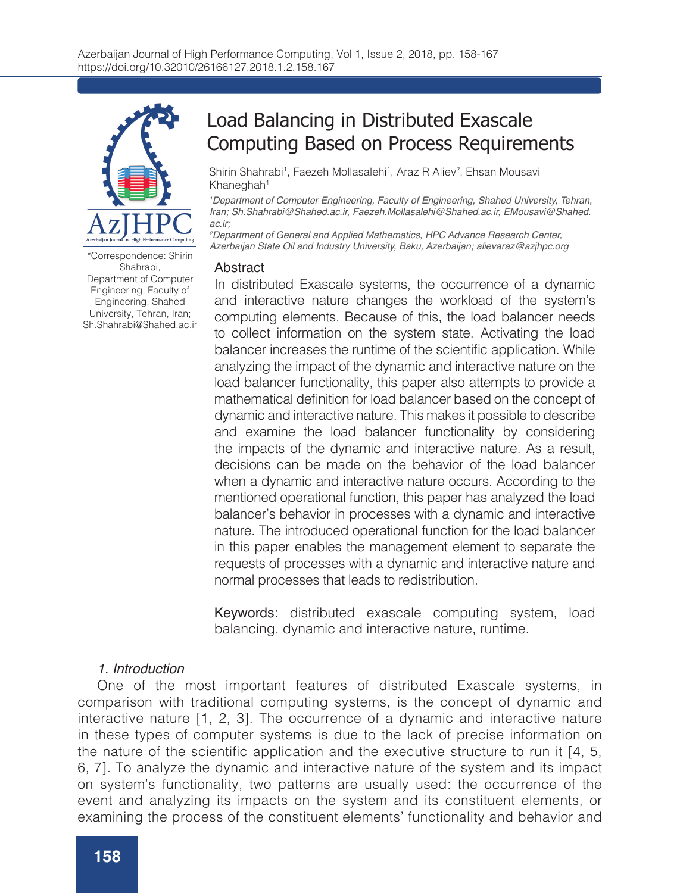

\*Correspondence: Shirin Shahrabi, Department of Computer Engineering, Faculty of Engineering, Shahed University, Tehran, Iran; Sh.Shahrabi@Shahed.ac.ir

# Load Balancing in Distributed Exascale Computing Based on Process Requirements

Shirin Shahrabi<sup>1</sup>, Faezeh Mollasalehi<sup>1</sup>, Araz R Aliev<sup>2</sup>, Ehsan Mousavi Khaneghah<sup>1</sup>

*1 Department of Computer Engineering, Faculty of Engineering, Shahed University, Tehran, Iran; Sh.Shahrabi@Shahed.ac.ir, Faezeh.Mollasalehi@Shahed.ac.ir, EMousavi@Shahed. ac.ir;* 

*2 Department of General and Applied Mathematics, HPC Advance Research Center, Azerbaijan State Oil and Industry University, Baku, Azerbaijan; alievaraz@azjhpc.org*

### Abstract

In distributed Exascale systems, the occurrence of a dynamic and interactive nature changes the workload of the system's computing elements. Because of this, the load balancer needs to collect information on the system state. Activating the load balancer increases the runtime of the scientific application. While analyzing the impact of the dynamic and interactive nature on the load balancer functionality, this paper also attempts to provide a mathematical definition for load balancer based on the concept of dynamic and interactive nature. This makes it possible to describe and examine the load balancer functionality by considering the impacts of the dynamic and interactive nature. As a result, decisions can be made on the behavior of the load balancer when a dynamic and interactive nature occurs. According to the mentioned operational function, this paper has analyzed the load balancer's behavior in processes with a dynamic and interactive nature. The introduced operational function for the load balancer in this paper enables the management element to separate the requests of processes with a dynamic and interactive nature and normal processes that leads to redistribution.

Keywords: distributed exascale computing system, load balancing, dynamic and interactive nature, runtime.

#### *1. Introduction*

One of the most important features of distributed Exascale systems, in comparison with traditional computing systems, is the concept of dynamic and interactive nature [1, 2, 3]. The occurrence of a dynamic and interactive nature in these types of computer systems is due to the lack of precise information on the nature of the scientific application and the executive structure to run it [4, 5, 6, 7]. To analyze the dynamic and interactive nature of the system and its impact on system's functionality, two patterns are usually used: the occurrence of the event and analyzing its impacts on the system and its constituent elements, or examining the process of the constituent elements' functionality and behavior and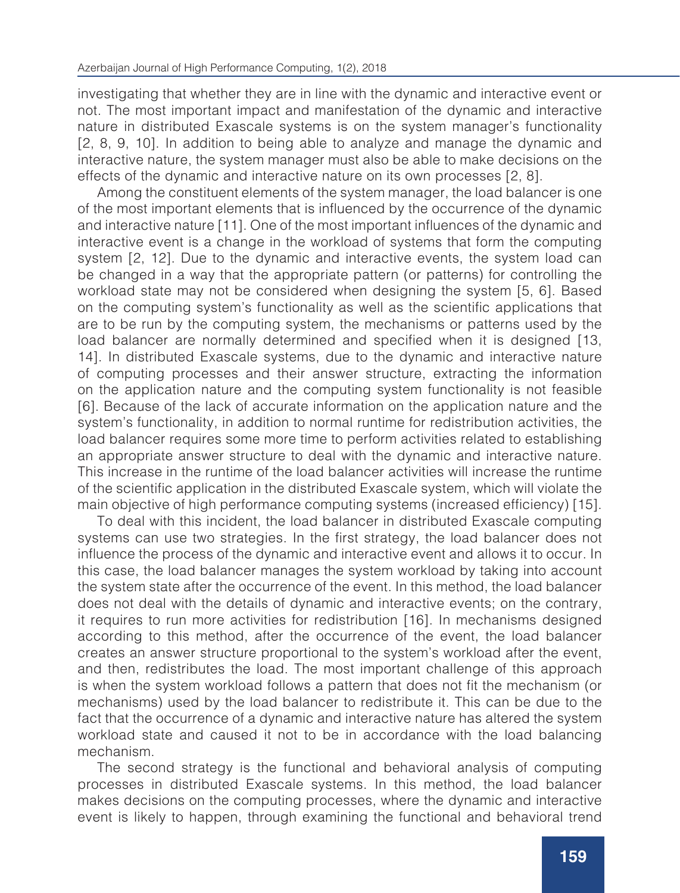investigating that whether they are in line with the dynamic and interactive event or not. The most important impact and manifestation of the dynamic and interactive nature in distributed Exascale systems is on the system manager's functionality [2, 8, 9, 10]. In addition to being able to analyze and manage the dynamic and interactive nature, the system manager must also be able to make decisions on the effects of the dynamic and interactive nature on its own processes [2, 8].

Among the constituent elements of the system manager, the load balancer is one of the most important elements that is influenced by the occurrence of the dynamic and interactive nature [11]. One of the most important influences of the dynamic and interactive event is a change in the workload of systems that form the computing system [2, 12]. Due to the dynamic and interactive events, the system load can be changed in a way that the appropriate pattern (or patterns) for controlling the workload state may not be considered when designing the system [5, 6]. Based on the computing system's functionality as well as the scientific applications that are to be run by the computing system, the mechanisms or patterns used by the load balancer are normally determined and specified when it is designed [13, 14]. In distributed Exascale systems, due to the dynamic and interactive nature of computing processes and their answer structure, extracting the information on the application nature and the computing system functionality is not feasible [6]. Because of the lack of accurate information on the application nature and the system's functionality, in addition to normal runtime for redistribution activities, the load balancer requires some more time to perform activities related to establishing an appropriate answer structure to deal with the dynamic and interactive nature. This increase in the runtime of the load balancer activities will increase the runtime of the scientific application in the distributed Exascale system, which will violate the main objective of high performance computing systems (increased efficiency) [15].

To deal with this incident, the load balancer in distributed Exascale computing systems can use two strategies. In the first strategy, the load balancer does not influence the process of the dynamic and interactive event and allows it to occur. In this case, the load balancer manages the system workload by taking into account the system state after the occurrence of the event. In this method, the load balancer does not deal with the details of dynamic and interactive events; on the contrary, it requires to run more activities for redistribution [16]. In mechanisms designed according to this method, after the occurrence of the event, the load balancer creates an answer structure proportional to the system's workload after the event, and then, redistributes the load. The most important challenge of this approach is when the system workload follows a pattern that does not fit the mechanism (or mechanisms) used by the load balancer to redistribute it. This can be due to the fact that the occurrence of a dynamic and interactive nature has altered the system workload state and caused it not to be in accordance with the load balancing mechanism.

The second strategy is the functional and behavioral analysis of computing processes in distributed Exascale systems. In this method, the load balancer makes decisions on the computing processes, where the dynamic and interactive event is likely to happen, through examining the functional and behavioral trend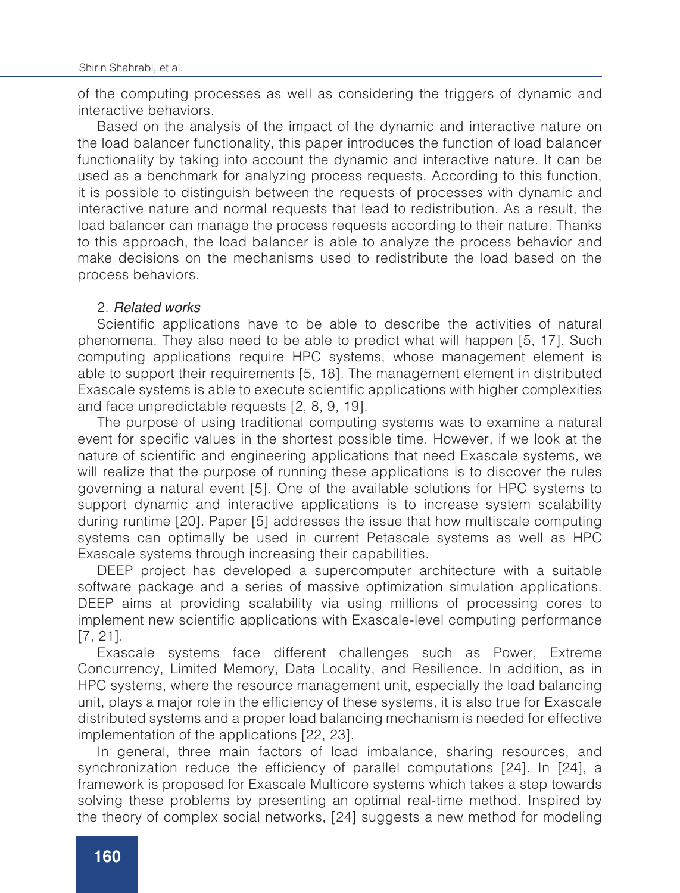of the computing processes as well as considering the triggers of dynamic and interactive behaviors.

Based on the analysis of the impact of the dynamic and interactive nature on the load balancer functionality, this paper introduces the function of load balancer functionality by taking into account the dynamic and interactive nature. It can be used as a benchmark for analyzing process requests. According to this function, it is possible to distinguish between the requests of processes with dynamic and interactive nature and normal requests that lead to redistribution. As a result, the load balancer can manage the process requests according to their nature. Thanks to this approach, the load balancer is able to analyze the process behavior and make decisions on the mechanisms used to redistribute the load based on the process behaviors.

#### 2. *Related works*

Scientific applications have to be able to describe the activities of natural phenomena. They also need to be able to predict what will happen [5, 17]. Such computing applications require HPC systems, whose management element is able to support their requirements [5, 18]. The management element in distributed Exascale systems is able to execute scientific applications with higher complexities and face unpredictable requests [2, 8, 9, 19].

The purpose of using traditional computing systems was to examine a natural event for specific values in the shortest possible time. However, if we look at the nature of scientific and engineering applications that need Exascale systems, we will realize that the purpose of running these applications is to discover the rules governing a natural event [5]. One of the available solutions for HPC systems to support dynamic and interactive applications is to increase system scalability during runtime [20]. Paper [5] addresses the issue that how multiscale computing systems can optimally be used in current Petascale systems as well as HPC Exascale systems through increasing their capabilities.

DEEP project has developed a supercomputer architecture with a suitable software package and a series of massive optimization simulation applications. DEEP aims at providing scalability via using millions of processing cores to implement new scientific applications with Exascale-level computing performance [7, 21].

Exascale systems face different challenges such as Power, Extreme Concurrency, Limited Memory, Data Locality, and Resilience. In addition, as in HPC systems, where the resource management unit, especially the load balancing unit, plays a major role in the efficiency of these systems, it is also true for Exascale distributed systems and a proper load balancing mechanism is needed for effective implementation of the applications [22, 23].

In general, three main factors of load imbalance, sharing resources, and synchronization reduce the efficiency of parallel computations [24]. In [24], a framework is proposed for Exascale Multicore systems which takes a step towards solving these problems by presenting an optimal real-time method. Inspired by the theory of complex social networks, [24] suggests a new method for modeling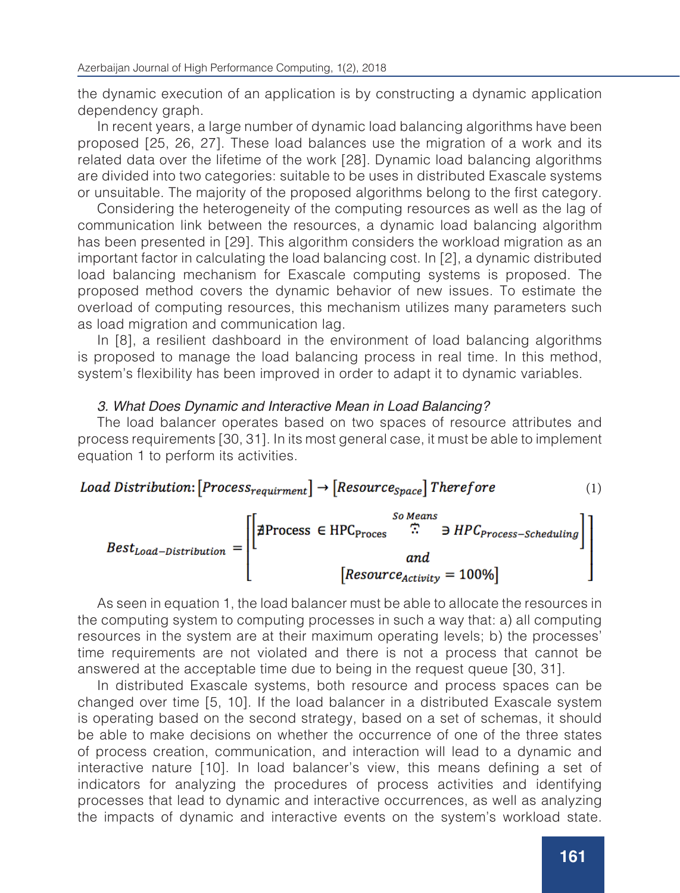the dynamic execution of an application is by constructing a dynamic application dependency graph.

In recent years, a large number of dynamic load balancing algorithms have been proposed [25, 26, 27]. These load balances use the migration of a work and its related data over the lifetime of the work [28]. Dynamic load balancing algorithms are divided into two categories: suitable to be uses in distributed Exascale systems or unsuitable. The majority of the proposed algorithms belong to the first category.

Considering the heterogeneity of the computing resources as well as the lag of communication link between the resources, a dynamic load balancing algorithm has been presented in [29]. This algorithm considers the workload migration as an important factor in calculating the load balancing cost. In [2], a dynamic distributed load balancing mechanism for Exascale computing systems is proposed. The proposed method covers the dynamic behavior of new issues. To estimate the overload of computing resources, this mechanism utilizes many parameters such as load migration and communication lag.

In [8], a resilient dashboard in the environment of load balancing algorithms is proposed to manage the load balancing process in real time. In this method, system's flexibility has been improved in order to adapt it to dynamic variables.

#### *3. What Does Dynamic and Interactive Mean in Load Balancing?*

The load balancer operates based on two spaces of resource attributes and process requirements [30, 31]. In its most general case, it must be able to implement equation 1 to perform its activities.



As seen in equation 1, the load balancer must be able to allocate the resources in the computing system to computing processes in such a way that: a) all computing resources in the system are at their maximum operating levels; b) the processes' time requirements are not violated and there is not a process that cannot be answered at the acceptable time due to being in the request queue [30, 31].

In distributed Exascale systems, both resource and process spaces can be changed over time [5, 10]. If the load balancer in a distributed Exascale system is operating based on the second strategy, based on a set of schemas, it should be able to make decisions on whether the occurrence of one of the three states of process creation, communication, and interaction will lead to a dynamic and interactive nature [10]. In load balancer's view, this means defining a set of indicators for analyzing the procedures of process activities and identifying processes that lead to dynamic and interactive occurrences, as well as analyzing the impacts of dynamic and interactive events on the system's workload state.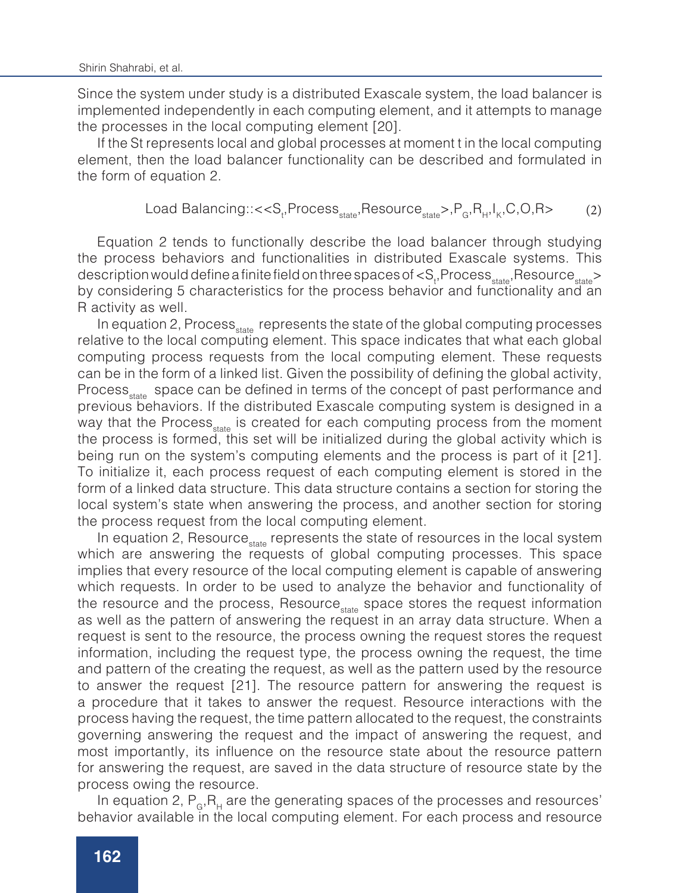Since the system under study is a distributed Exascale system, the load balancer is implemented independently in each computing element, and it attempts to manage the processes in the local computing element [20].

If the St represents local and global processes at moment t in the local computing element, then the load balancer functionality can be described and formulated in the form of equation 2.

$$
Load Balancing::<, PG, RH, IK, C, O, R> (2)
$$

Equation 2 tends to functionally describe the load balancer through studying the process behaviors and functionalities in distributed Exascale systems. This description would define a finite field on three spaces of  $<\!S_{_t},$ Process $_{_{\rm{state}}},$ Resource $_{_{\rm{state}}}>$ by considering 5 characteristics for the process behavior and functionality and an R activity as well.

In equation 2, Process state represents the state of the global computing processes relative to the local computing element. This space indicates that what each global computing process requests from the local computing element. These requests can be in the form of a linked list. Given the possibility of defining the global activity, Process<sub>state</sub> space can be defined in terms of the concept of past performance and previous behaviors. If the distributed Exascale computing system is designed in a way that the Process<sub>state</sub> is created for each computing process from the moment the process is formed, this set will be initialized during the global activity which is being run on the system's computing elements and the process is part of it [21]. To initialize it, each process request of each computing element is stored in the form of a linked data structure. This data structure contains a section for storing the local system's state when answering the process, and another section for storing the process request from the local computing element.

In equation 2, Resource state, represents the state of resources in the local system which are answering the requests of global computing processes. This space implies that every resource of the local computing element is capable of answering which requests. In order to be used to analyze the behavior and functionality of the resource and the process, Resource state space stores the request information as well as the pattern of answering the request in an array data structure. When a request is sent to the resource, the process owning the request stores the request information, including the request type, the process owning the request, the time and pattern of the creating the request, as well as the pattern used by the resource to answer the request [21]. The resource pattern for answering the request is a procedure that it takes to answer the request. Resource interactions with the process having the request, the time pattern allocated to the request, the constraints governing answering the request and the impact of answering the request, and most importantly, its influence on the resource state about the resource pattern for answering the request, are saved in the data structure of resource state by the process owing the resource.

In equation 2,  $P_{\rm g}$ ,  $R_{\rm H}$  are the generating spaces of the processes and resources' behavior available in the local computing element. For each process and resource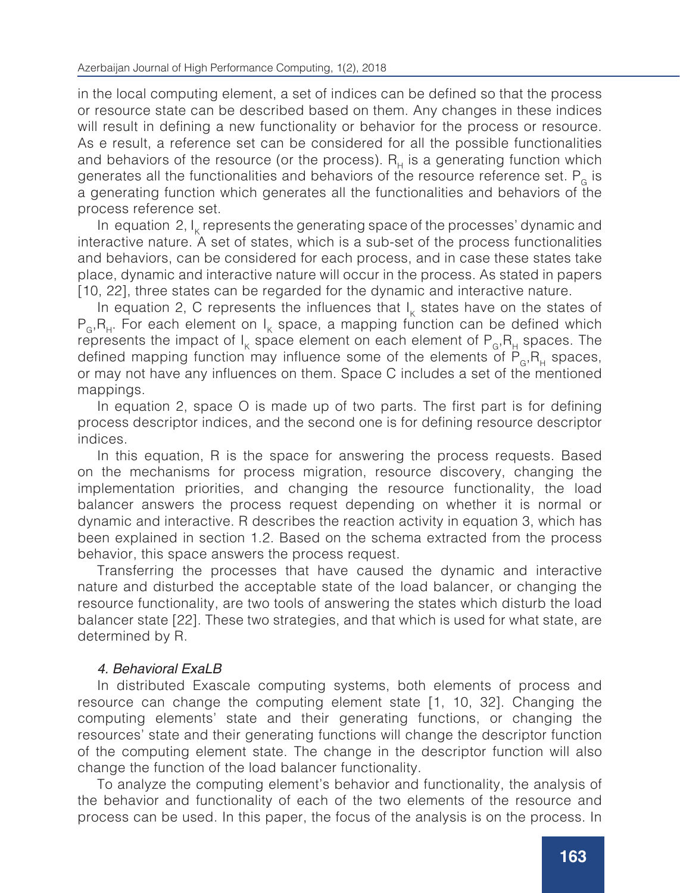in the local computing element, a set of indices can be defined so that the process or resource state can be described based on them. Any changes in these indices will result in defining a new functionality or behavior for the process or resource. As e result, a reference set can be considered for all the possible functionalities and behaviors of the resource (or the process).  $R<sub>H</sub>$  is a generating function which generates all the functionalities and behaviors of the resource reference set.  $P<sub>6</sub>$  is a generating function which generates all the functionalities and behaviors of the process reference set.

In equation 2,  $I_k$  represents the generating space of the processes' dynamic and interactive nature. A set of states, which is a sub-set of the process functionalities and behaviors, can be considered for each process, and in case these states take place, dynamic and interactive nature will occur in the process. As stated in papers [10, 22], three states can be regarded for the dynamic and interactive nature.

In equation 2, C represents the influences that  $I_k$  states have on the states of  $P_{\alpha}$ , R<sub>H</sub>. For each element on I<sub>K</sub> space, a mapping function can be defined which represents the impact of  $I_{\kappa}$  space element on each element of  $\mathsf{P}_{_{\mathbf{G}}},\mathsf{R}_{_{\mathbf{H}}}$  spaces. The defined mapping function may influence some of the elements of  $P_{G}R_{H}$  spaces, or may not have any influences on them. Space C includes a set of the mentioned mappings.

In equation 2, space O is made up of two parts. The first part is for defining process descriptor indices, and the second one is for defining resource descriptor indices.

In this equation, R is the space for answering the process requests. Based on the mechanisms for process migration, resource discovery, changing the implementation priorities, and changing the resource functionality, the load balancer answers the process request depending on whether it is normal or dynamic and interactive. R describes the reaction activity in equation 3, which has been explained in section 1.2. Based on the schema extracted from the process behavior, this space answers the process request.

Transferring the processes that have caused the dynamic and interactive nature and disturbed the acceptable state of the load balancer, or changing the resource functionality, are two tools of answering the states which disturb the load balancer state [22]. These two strategies, and that which is used for what state, are determined by R.

# *4. Behavioral ExaLB*

In distributed Exascale computing systems, both elements of process and resource can change the computing element state [1, 10, 32]. Changing the computing elements' state and their generating functions, or changing the resources' state and their generating functions will change the descriptor function of the computing element state. The change in the descriptor function will also change the function of the load balancer functionality.

To analyze the computing element's behavior and functionality, the analysis of the behavior and functionality of each of the two elements of the resource and process can be used. In this paper, the focus of the analysis is on the process. In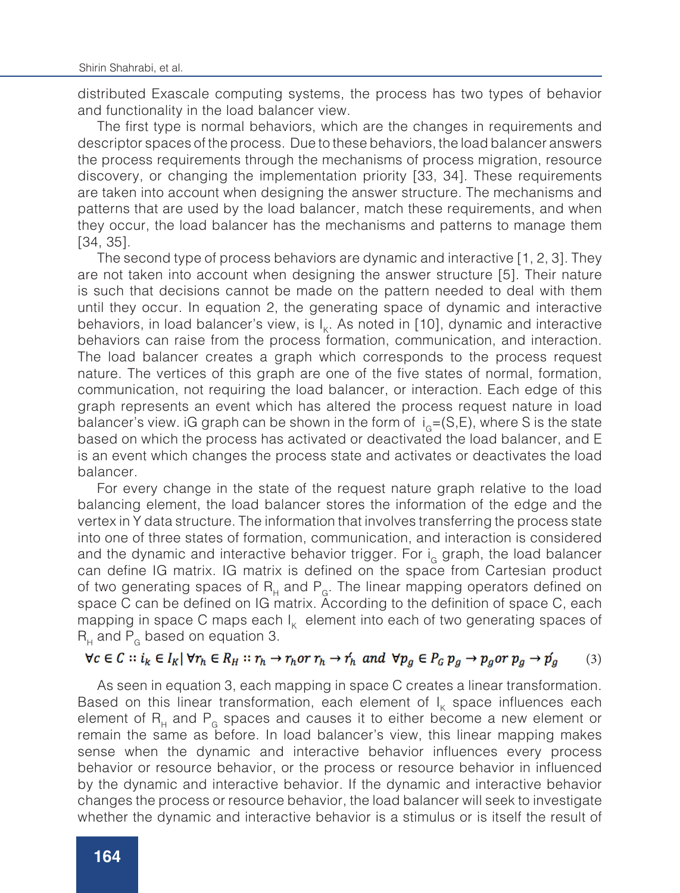distributed Exascale computing systems, the process has two types of behavior and functionality in the load balancer view.

The first type is normal behaviors, which are the changes in requirements and descriptor spaces of the process. Due to these behaviors, the load balancer answers the process requirements through the mechanisms of process migration, resource discovery, or changing the implementation priority [33, 34]. These requirements are taken into account when designing the answer structure. The mechanisms and patterns that are used by the load balancer, match these requirements, and when they occur, the load balancer has the mechanisms and patterns to manage them [34, 35].

The second type of process behaviors are dynamic and interactive [1, 2, 3]. They are not taken into account when designing the answer structure [5]. Their nature is such that decisions cannot be made on the pattern needed to deal with them until they occur. In equation 2, the generating space of dynamic and interactive behaviors, in load balancer's view, is  $I_{k}$ . As noted in [10], dynamic and interactive behaviors can raise from the process formation, communication, and interaction. The load balancer creates a graph which corresponds to the process request nature. The vertices of this graph are one of the five states of normal, formation, communication, not requiring the load balancer, or interaction. Each edge of this graph represents an event which has altered the process request nature in load balancer's view. iG graph can be shown in the form of  $i<sub>g</sub>=(S,E)$ , where S is the state based on which the process has activated or deactivated the load balancer, and E is an event which changes the process state and activates or deactivates the load balancer.

For every change in the state of the request nature graph relative to the load balancing element, the load balancer stores the information of the edge and the vertex in Y data structure. The information that involves transferring the process state into one of three states of formation, communication, and interaction is considered and the dynamic and interactive behavior trigger. For  $i<sub>G</sub>$  graph, the load balancer can define IG matrix. IG matrix is defined on the space from Cartesian product of two generating spaces of R<sub>H</sub> and P<sub>G</sub>. The linear mapping operators defined on space C can be defined on IG matrix. According to the definition of space C, each mapping in space C maps each  $I_k$  element into each of two generating spaces of  $R_{H}$  and  $P_{G}$  based on equation 3.

#### $\forall c \in C :: i_k \in I_k \mid \forall r_h \in R_H :: r_h \rightarrow r_h$  or  $r_h \rightarrow r'_h$  and  $\forall p_a \in P_G p_a \rightarrow p_a$  or  $p_a \rightarrow p'_a$ (3)

As seen in equation 3, each mapping in space C creates a linear transformation. Based on this linear transformation, each element of  $I_{K}$  space influences each element of  $R_H$  and  $P_G$  spaces and causes it to either become a new element or remain the same as before. In load balancer's view, this linear mapping makes sense when the dynamic and interactive behavior influences every process behavior or resource behavior, or the process or resource behavior in influenced by the dynamic and interactive behavior. If the dynamic and interactive behavior changes the process or resource behavior, the load balancer will seek to investigate whether the dynamic and interactive behavior is a stimulus or is itself the result of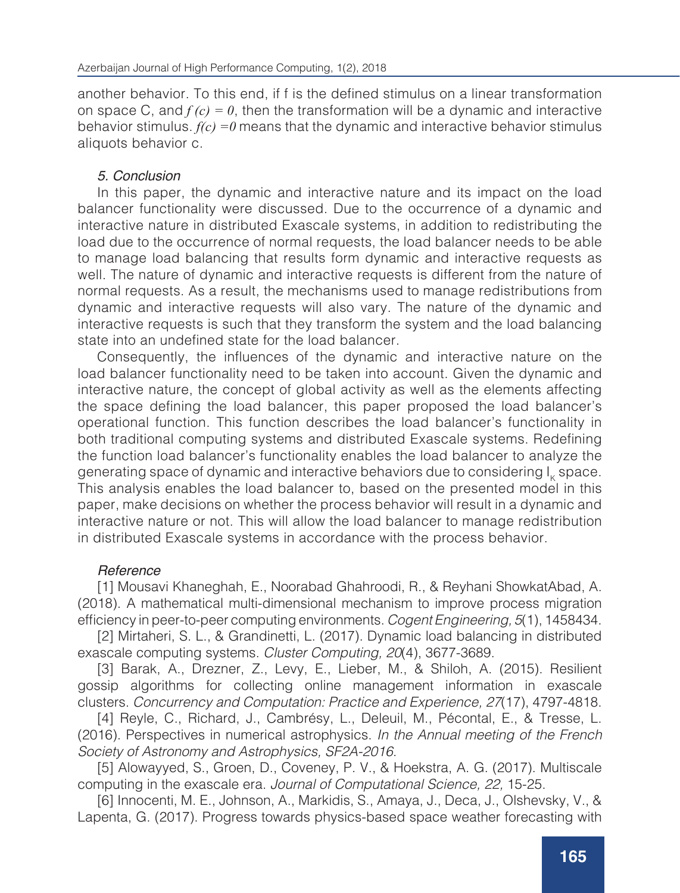another behavior. To this end, if f is the defined stimulus on a linear transformation on space C, and  $f(c) = 0$ , then the transformation will be a dynamic and interactive behavior stimulus. *f(c) =0* means that the dynamic and interactive behavior stimulus aliquots behavior c.

# *5. Conclusion*

In this paper, the dynamic and interactive nature and its impact on the load balancer functionality were discussed. Due to the occurrence of a dynamic and interactive nature in distributed Exascale systems, in addition to redistributing the load due to the occurrence of normal requests, the load balancer needs to be able to manage load balancing that results form dynamic and interactive requests as well. The nature of dynamic and interactive requests is different from the nature of normal requests. As a result, the mechanisms used to manage redistributions from dynamic and interactive requests will also vary. The nature of the dynamic and interactive requests is such that they transform the system and the load balancing state into an undefined state for the load balancer.

Consequently, the influences of the dynamic and interactive nature on the load balancer functionality need to be taken into account. Given the dynamic and interactive nature, the concept of global activity as well as the elements affecting the space defining the load balancer, this paper proposed the load balancer's operational function. This function describes the load balancer's functionality in both traditional computing systems and distributed Exascale systems. Redefining the function load balancer's functionality enables the load balancer to analyze the generating space of dynamic and interactive behaviors due to considering I<sub>k</sub> space. This analysis enables the load balancer to, based on the presented model in this paper, make decisions on whether the process behavior will result in a dynamic and interactive nature or not. This will allow the load balancer to manage redistribution in distributed Exascale systems in accordance with the process behavior.

# *Reference*

[1] Mousavi Khaneghah, E., Noorabad Ghahroodi, R., & Reyhani ShowkatAbad, A. (2018). A mathematical multi-dimensional mechanism to improve process migration efficiency in peer-to-peer computing environments. *Cogent Engineering, 5*(1), 1458434.

[2] Mirtaheri, S. L., & Grandinetti, L. (2017). Dynamic load balancing in distributed exascale computing systems. *Cluster Computing, 20*(4), 3677-3689.

[3] Barak, A., Drezner, Z., Levy, E., Lieber, M., & Shiloh, A. (2015). Resilient gossip algorithms for collecting online management information in exascale clusters. *Concurrency and Computation: Practice and Experience, 27*(17), 4797-4818.

[4] Reyle, C., Richard, J., Cambrésy, L., Deleuil, M., Pécontal, E., & Tresse, L. (2016). Perspectives in numerical astrophysics. *In the Annual meeting of the French Society of Astronomy and Astrophysics, SF2A-2016.*

[5] Alowayyed, S., Groen, D., Coveney, P. V., & Hoekstra, A. G. (2017). Multiscale computing in the exascale era. *Journal of Computational Science, 22,* 15-25.

[6] Innocenti, M. E., Johnson, A., Markidis, S., Amaya, J., Deca, J., Olshevsky, V., & Lapenta, G. (2017). Progress towards physics-based space weather forecasting with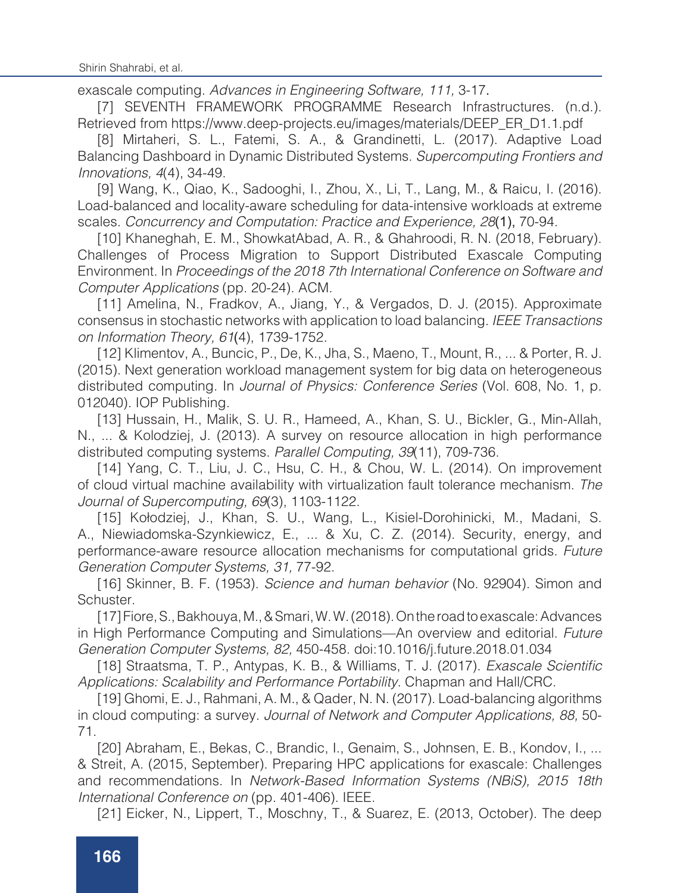exascale computing. *Advances in Engineering Software, 111,* 3-17.

[7] SEVENTH FRAMEWORK PROGRAMME Research Infrastructures. (n.d.). Retrieved from https://www.deep-projects.eu/images/materials/DEEP\_ER\_D1.1.pdf

[8] Mirtaheri, S. L., Fatemi, S. A., & Grandinetti, L. (2017). Adaptive Load Balancing Dashboard in Dynamic Distributed Systems. *Supercomputing Frontiers and Innovations, 4*(4), 34-49.

[9] Wang, K., Qiao, K., Sadooghi, I., Zhou, X., Li, T., Lang, M., & Raicu, I. (2016). Load‐balanced and locality‐aware scheduling for data‐intensive workloads at extreme scales. *Concurrency and Computation: Practice and Experience, 28*(1), 70-94.

[10] Khaneghah, E. M., ShowkatAbad, A. R., & Ghahroodi, R. N. (2018, February). Challenges of Process Migration to Support Distributed Exascale Computing Environment. In *Proceedings of the 2018 7th International Conference on Software and Computer Applications* (pp. 20-24). ACM.

[11] Amelina, N., Fradkov, A., Jiang, Y., & Vergados, D. J. (2015). Approximate consensus in stochastic networks with application to load balancing. *IEEE Transactions on Information Theory, 61*(4), 1739-1752.

[12] Klimentov, A., Buncic, P., De, K., Jha, S., Maeno, T., Mount, R., ... & Porter, R. J. (2015). Next generation workload management system for big data on heterogeneous distributed computing. In *Journal of Physics: Conference Series* (Vol. 608, No. 1, p. 012040). IOP Publishing.

[13] Hussain, H., Malik, S. U. R., Hameed, A., Khan, S. U., Bickler, G., Min-Allah, N., ... & Kolodziej, J. (2013). A survey on resource allocation in high performance distributed computing systems. *Parallel Computing, 39*(11), 709-736.

[14] Yang, C. T., Liu, J. C., Hsu, C. H., & Chou, W. L. (2014). On improvement of cloud virtual machine availability with virtualization fault tolerance mechanism. *The Journal of Supercomputing, 69*(3), 1103-1122.

[15] Kołodziej, J., Khan, S. U., Wang, L., Kisiel-Dorohinicki, M., Madani, S. A., Niewiadomska-Szynkiewicz, E., ... & Xu, C. Z. (2014). Security, energy, and performance-aware resource allocation mechanisms for computational grids. *Future Generation Computer Systems, 31,* 77-92.

[16] Skinner, B. F. (1953). *Science and human behavior* (No. 92904). Simon and Schuster.

[17] Fiore, S., Bakhouya, M., & Smari, W. W. (2018). On the road to exascale: Advances in High Performance Computing and Simulations—An overview and editorial. *Future Generation Computer Systems, 82,* 450-458. doi:10.1016/j.future.2018.01.034

[18] Straatsma, T. P., Antypas, K. B., & Williams, T. J. (2017). Exascale Scientific *Applications: Scalability and Performance Portability.* Chapman and Hall/CRC.

[19] Ghomi, E. J., Rahmani, A. M., & Qader, N. N. (2017). Load-balancing algorithms in cloud computing: a survey. *Journal of Network and Computer Applications, 88,* 50- 71.

[20] Abraham, E., Bekas, C., Brandic, I., Genaim, S., Johnsen, E. B., Kondov, I., ... & Streit, A. (2015, September). Preparing HPC applications for exascale: Challenges and recommendations. In *Network-Based Information Systems (NBiS), 2015 18th International Conference on* (pp. 401-406). IEEE.

[21] Eicker, N., Lippert, T., Moschny, T., & Suarez, E. (2013, October). The deep